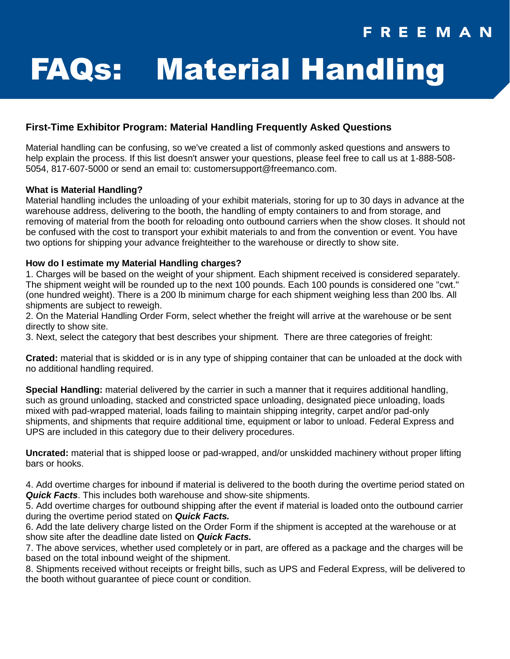## FREEMAN

# FAQs: Material Handling

#### **First-Time Exhibitor Program: Material Handling Frequently Asked Questions**

Material handling can be confusing, so we've created a list of commonly asked questions and answers to help explain the process. If this list doesn't answer your questions, please feel free to call us at 1-888-508- 5054, 817-607-5000 or send an email to: customersupport@freemanco.com.

#### **What is Material Handling?**

Material handling includes the unloading of your exhibit materials, storing for up to 30 days in advance at the warehouse address, delivering to the booth, the handling of empty containers to and from storage, and removing of material from the booth for reloading onto outbound carriers when the show closes. It should not be confused with the cost to transport your exhibit materials to and from the convention or event. You have two options for shipping your advance freighteither to the warehouse or directly to show site.

#### **How do I estimate my Material Handling charges?**

1. Charges will be based on the weight of your shipment. Each shipment received is considered separately. The shipment weight will be rounded up to the next 100 pounds. Each 100 pounds is considered one "cwt." (one hundred weight). There is a 200 lb minimum charge for each shipment weighing less than 200 lbs. All shipments are subject to reweigh.

2. On the Material Handling Order Form, select whether the freight will arrive at the warehouse or be sent directly to show site.

3. Next, select the category that best describes your shipment. There are three categories of freight:

**Crated:** material that is skidded or is in any type of shipping container that can be unloaded at the dock with no additional handling required.

**Special Handling:** material delivered by the carrier in such a manner that it requires additional handling, such as ground unloading, stacked and constricted space unloading, designated piece unloading, loads mixed with pad-wrapped material, loads failing to maintain shipping integrity, carpet and/or pad-only shipments, and shipments that require additional time, equipment or labor to unload. Federal Express and UPS are included in this category due to their delivery procedures.

**Uncrated:** material that is shipped loose or pad-wrapped, and/or unskidded machinery without proper lifting bars or hooks.

4. Add overtime charges for inbound if material is delivered to the booth during the overtime period stated on *Quick Facts*. This includes both warehouse and show-site shipments.

5. Add overtime charges for outbound shipping after the event if material is loaded onto the outbound carrier during the overtime period stated on *Quick Facts.* 

6. Add the late delivery charge listed on the Order Form if the shipment is accepted at the warehouse or at show site after the deadline date listed on *Quick Facts.*

7. The above services, whether used completely or in part, are offered as a package and the charges will be based on the total inbound weight of the shipment.

8. Shipments received without receipts or freight bills, such as UPS and Federal Express, will be delivered to the booth without guarantee of piece count or condition.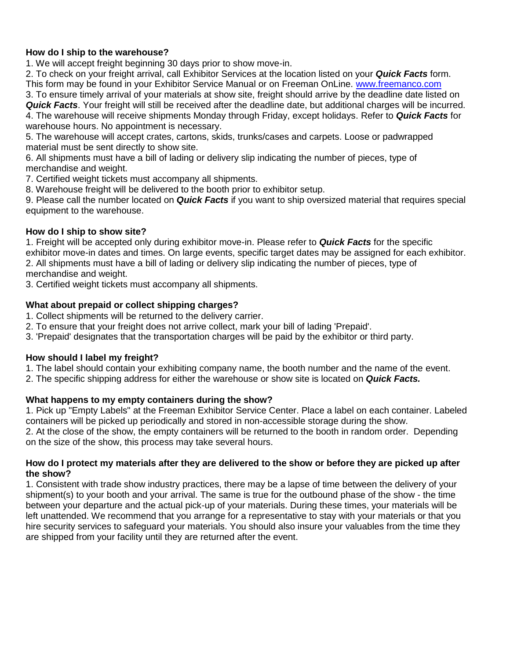#### **How do I ship to the warehouse?**

1. We will accept freight beginning 30 days prior to show move-in.

2. To check on your freight arrival, call Exhibitor Services at the location listed on your *Quick Facts* form. This form may be found in your Exhibitor Service Manual or on Freeman OnLine. [www.freemanco.com](http://www.freemanco.com/)

3. To ensure timely arrival of your materials at show site, freight should arrive by the deadline date listed on *Quick Facts*. Your freight will still be received after the deadline date, but additional charges will be incurred.

4. The warehouse will receive shipments Monday through Friday, except holidays. Refer to *Quick Facts* for warehouse hours. No appointment is necessary.

5. The warehouse will accept crates, cartons, skids, trunks/cases and carpets. Loose or padwrapped material must be sent directly to show site.

6. All shipments must have a bill of lading or delivery slip indicating the number of pieces, type of merchandise and weight.

7. Certified weight tickets must accompany all shipments.

8. Warehouse freight will be delivered to the booth prior to exhibitor setup.

9. Please call the number located on *Quick Facts* if you want to ship oversized material that requires special equipment to the warehouse.

#### **How do I ship to show site?**

1. Freight will be accepted only during exhibitor move-in. Please refer to *Quick Facts* for the specific exhibitor move-in dates and times. On large events, specific target dates may be assigned for each exhibitor. 2. All shipments must have a bill of lading or delivery slip indicating the number of pieces, type of merchandise and weight.

3. Certified weight tickets must accompany all shipments.

#### **What about prepaid or collect shipping charges?**

- 1. Collect shipments will be returned to the delivery carrier.
- 2. To ensure that your freight does not arrive collect, mark your bill of lading 'Prepaid'.
- 3. 'Prepaid' designates that the transportation charges will be paid by the exhibitor or third party.

#### **How should I label my freight?**

1. The label should contain your exhibiting company name, the booth number and the name of the event.

2. The specific shipping address for either the warehouse or show site is located on *Quick Facts.*

#### **What happens to my empty containers during the show?**

1. Pick up "Empty Labels" at the Freeman Exhibitor Service Center. Place a label on each container. Labeled containers will be picked up periodically and stored in non-accessible storage during the show.

2. At the close of the show, the empty containers will be returned to the booth in random order. Depending on the size of the show, this process may take several hours.

#### **How do I protect my materials after they are delivered to the show or before they are picked up after the show?**

1. Consistent with trade show industry practices, there may be a lapse of time between the delivery of your shipment(s) to your booth and your arrival. The same is true for the outbound phase of the show - the time between your departure and the actual pick-up of your materials. During these times, your materials will be left unattended. We recommend that you arrange for a representative to stay with your materials or that you hire security services to safeguard your materials. You should also insure your valuables from the time they are shipped from your facility until they are returned after the event.